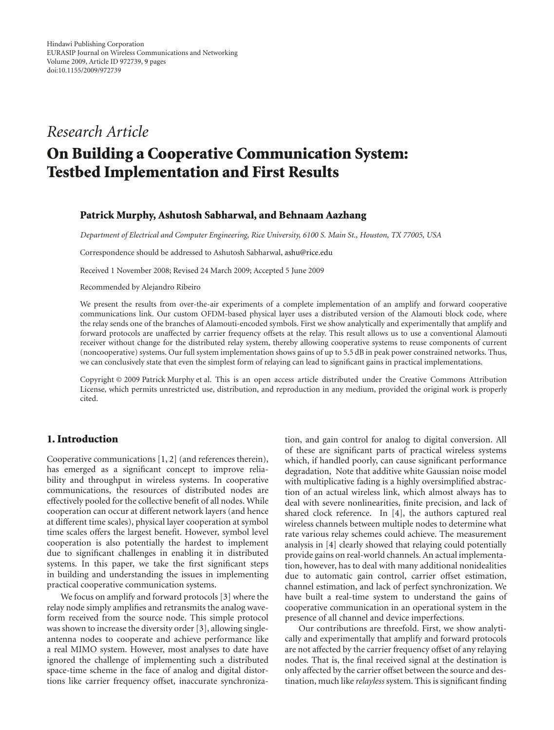# *Research Article*

# **On Building a Cooperative Communication System: Testbed Implementation and First Results**

### **Patrick Murphy, Ashutosh Sabharwal, and Behnaam Aazhang**

*Department of Electrical and Computer Engineering, Rice University, 6100 S. Main St., Houston, TX 77005, USA*

Correspondence should be addressed to Ashutosh Sabharwal, ashu@rice.edu

Received 1 November 2008; Revised 24 March 2009; Accepted 5 June 2009

Recommended by Alejandro Ribeiro

We present the results from over-the-air experiments of a complete implementation of an amplify and forward cooperative communications link. Our custom OFDM-based physical layer uses a distributed version of the Alamouti block code, where the relay sends one of the branches of Alamouti-encoded symbols. First we show analytically and experimentally that amplify and forward protocols are unaffected by carrier frequency offsets at the relay. This result allows us to use a conventional Alamouti receiver without change for the distributed relay system, thereby allowing cooperative systems to reuse components of current (noncooperative) systems. Our full system implementation shows gains of up to 5.5 dB in peak power constrained networks. Thus, we can conclusively state that even the simplest form of relaying can lead to significant gains in practical implementations.

Copyright © 2009 Patrick Murphy et al. This is an open access article distributed under the Creative Commons Attribution License, which permits unrestricted use, distribution, and reproduction in any medium, provided the original work is properly cited.

# **1. Introduction**

Cooperative communications [1, 2] (and references therein), has emerged as a significant concept to improve reliability and throughput in wireless systems. In cooperative communications, the resources of distributed nodes are effectively pooled for the collective benefit of all nodes. While cooperation can occur at different network layers (and hence at different time scales), physical layer cooperation at symbol time scales offers the largest benefit. However, symbol level cooperation is also potentially the hardest to implement due to significant challenges in enabling it in distributed systems. In this paper, we take the first significant steps in building and understanding the issues in implementing practical cooperative communication systems.

We focus on amplify and forward protocols [3] where the relay node simply amplifies and retransmits the analog waveform received from the source node. This simple protocol was shown to increase the diversity order [3], allowing singleantenna nodes to cooperate and achieve performance like a real MIMO system. However, most analyses to date have ignored the challenge of implementing such a distributed space-time scheme in the face of analog and digital distortions like carrier frequency offset, inaccurate synchroniza-

tion, and gain control for analog to digital conversion. All of these are significant parts of practical wireless systems which, if handled poorly, can cause significant performance degradation, Note that additive white Gaussian noise model with multiplicative fading is a highly oversimplified abstraction of an actual wireless link, which almost always has to deal with severe nonlinearities, finite precision, and lack of shared clock reference. In [4], the authors captured real wireless channels between multiple nodes to determine what rate various relay schemes could achieve. The measurement analysis in [4] clearly showed that relaying could potentially provide gains on real-world channels. An actual implementation, however, has to deal with many additional nonidealities due to automatic gain control, carrier offset estimation, channel estimation, and lack of perfect synchronization. We have built a real-time system to understand the gains of cooperative communication in an operational system in the presence of all channel and device imperfections.

Our contributions are threefold. First, we show analytically and experimentally that amplify and forward protocols are not affected by the carrier frequency offset of any relaying nodes. That is, the final received signal at the destination is only affected by the carrier offset between the source and destination, much like *relayless* system. This is significant finding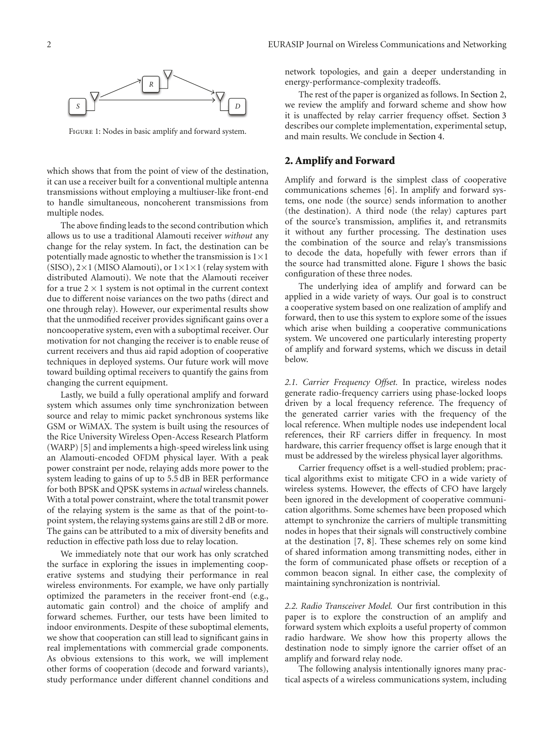

Figure 1: Nodes in basic amplify and forward system.

which shows that from the point of view of the destination, it can use a receiver built for a conventional multiple antenna transmissions without employing a multiuser-like front-end to handle simultaneous, noncoherent transmissions from multiple nodes.

The above finding leads to the second contribution which allows us to use a traditional Alamouti receiver *without* any change for the relay system. In fact, the destination can be potentially made agnostic to whether the transmission is  $1 \times 1$ (SISO),  $2 \times 1$  (MISO Alamouti), or  $1 \times 1 \times 1$  (relay system with distributed Alamouti). We note that the Alamouti receiver for a true  $2 \times 1$  system is not optimal in the current context due to different noise variances on the two paths (direct and one through relay). However, our experimental results show that the unmodified receiver provides significant gains over a noncooperative system, even with a suboptimal receiver. Our motivation for not changing the receiver is to enable reuse of current receivers and thus aid rapid adoption of cooperative techniques in deployed systems. Our future work will move toward building optimal receivers to quantify the gains from changing the current equipment.

Lastly, we build a fully operational amplify and forward system which assumes only time synchronization between source and relay to mimic packet synchronous systems like GSM or WiMAX. The system is built using the resources of the Rice University Wireless Open-Access Research Platform (WARP) [5] and implements a high-speed wireless link using an Alamouti-encoded OFDM physical layer. With a peak power constraint per node, relaying adds more power to the system leading to gains of up to 5.5 dB in BER performance for both BPSK and QPSK systems in *actual* wireless channels. With a total power constraint, where the total transmit power of the relaying system is the same as that of the point-topoint system, the relaying systems gains are still 2 dB or more. The gains can be attributed to a mix of diversity benefits and reduction in effective path loss due to relay location.

We immediately note that our work has only scratched the surface in exploring the issues in implementing cooperative systems and studying their performance in real wireless environments. For example, we have only partially optimized the parameters in the receiver front-end (e.g., automatic gain control) and the choice of amplify and forward schemes. Further, our tests have been limited to indoor environments. Despite of these suboptimal elements, we show that cooperation can still lead to significant gains in real implementations with commercial grade components. As obvious extensions to this work, we will implement other forms of cooperation (decode and forward variants), study performance under different channel conditions and

network topologies, and gain a deeper understanding in energy-performance-complexity tradeoffs.

The rest of the paper is organized as follows. In Section 2, we review the amplify and forward scheme and show how it is unaffected by relay carrier frequency offset. Section 3 describes our complete implementation, experimental setup, and main results. We conclude in Section 4.

#### **2. Amplify and Forward**

Amplify and forward is the simplest class of cooperative communications schemes [6]. In amplify and forward systems, one node (the source) sends information to another (the destination). A third node (the relay) captures part of the source's transmission, amplifies it, and retransmits it without any further processing. The destination uses the combination of the source and relay's transmissions to decode the data, hopefully with fewer errors than if the source had transmitted alone. Figure 1 shows the basic configuration of these three nodes.

The underlying idea of amplify and forward can be applied in a wide variety of ways. Our goal is to construct a cooperative system based on one realization of amplify and forward, then to use this system to explore some of the issues which arise when building a cooperative communications system. We uncovered one particularly interesting property of amplify and forward systems, which we discuss in detail below.

*2.1. Carrier Frequency Offset.* In practice, wireless nodes generate radio-frequency carriers using phase-locked loops driven by a local frequency reference. The frequency of the generated carrier varies with the frequency of the local reference. When multiple nodes use independent local references, their RF carriers differ in frequency. In most hardware, this carrier frequency offset is large enough that it must be addressed by the wireless physical layer algorithms.

Carrier frequency offset is a well-studied problem; practical algorithms exist to mitigate CFO in a wide variety of wireless systems. However, the effects of CFO have largely been ignored in the development of cooperative communication algorithms. Some schemes have been proposed which attempt to synchronize the carriers of multiple transmitting nodes in hopes that their signals will constructively combine at the destination [7, 8]. These schemes rely on some kind of shared information among transmitting nodes, either in the form of communicated phase offsets or reception of a common beacon signal. In either case, the complexity of maintaining synchronization is nontrivial.

*2.2. Radio Transceiver Model.* Our first contribution in this paper is to explore the construction of an amplify and forward system which exploits a useful property of common radio hardware. We show how this property allows the destination node to simply ignore the carrier offset of an amplify and forward relay node.

The following analysis intentionally ignores many practical aspects of a wireless communications system, including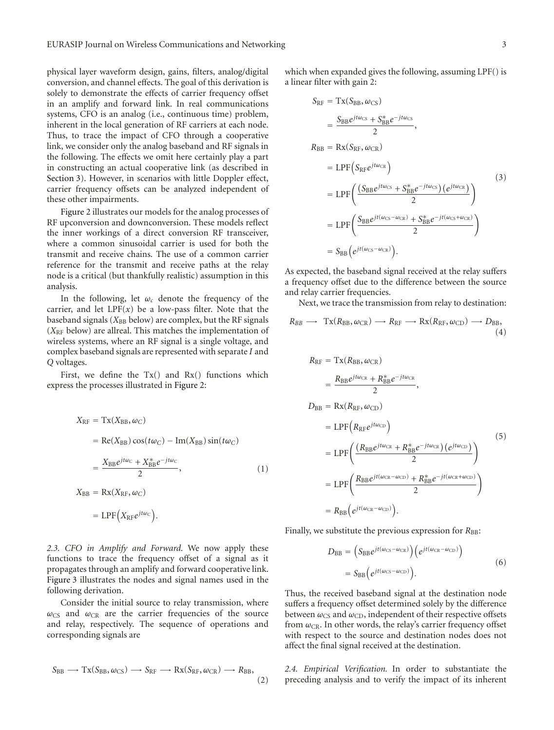physical layer waveform design, gains, filters, analog/digital conversion, and channel effects. The goal of this derivation is solely to demonstrate the effects of carrier frequency offset in an amplify and forward link. In real communications systems, CFO is an analog (i.e., continuous time) problem, inherent in the local generation of RF carriers at each node. Thus, to trace the impact of CFO through a cooperative link, we consider only the analog baseband and RF signals in the following. The effects we omit here certainly play a part in constructing an actual cooperative link (as described in Section 3). However, in scenarios with little Doppler effect, carrier frequency offsets can be analyzed independent of these other impairments.

Figure 2 illustrates our models for the analog processes of RF upconversion and downconversion. These models reflect the inner workings of a direct conversion RF transceiver, where a common sinusoidal carrier is used for both the transmit and receive chains. The use of a common carrier reference for the transmit and receive paths at the relay node is a critical (but thankfully realistic) assumption in this analysis.

In the following, let  $\omega_c$  denote the frequency of the carrier, and let  $LPF(x)$  be a low-pass filter. Note that the baseband signals (*X*<sub>BB</sub> below) are complex, but the RF signals (*X*RF below) are allreal. This matches the implementation of wireless systems, where an RF signal is a single voltage, and complex baseband signals are represented with separate *I* and *Q* voltages.

First, we define the Tx() and Rx() functions which express the processes illustrated in Figure 2:

$$
X_{\rm RF} = \text{Tx}(X_{\rm BB}, \omega_C)
$$
  
= Re(X\_{\rm BB}) cos(t\omega\_C) - \text{Im}(X\_{\rm BB}) sin(t\omega\_C)  

$$
= \frac{X_{\rm BB}e^{jt\omega_C} + X_{\rm BB}^*e^{-jt\omega_C}}{2},
$$
  

$$
X_{\rm BB} = \text{Rx}(X_{\rm RF}, \omega_C)
$$
  

$$
= \text{LPF}\Big(X_{\rm RF}e^{jt\omega_C}\Big).
$$
 (1)

*2.3. CFO in Amplify and Forward.* We now apply these functions to trace the frequency offset of a signal as it propagates through an amplify and forward cooperative link. Figure 3 illustrates the nodes and signal names used in the following derivation.

Consider the initial source to relay transmission, where *ω*CS and *ω*CR are the carrier frequencies of the source and relay, respectively. The sequence of operations and corresponding signals are

$$
S_{BB} \longrightarrow Tx(S_{BB}, \omega_{CS}) \longrightarrow S_{RF} \longrightarrow Rx(S_{RF}, \omega_{CR}) \longrightarrow R_{BB},
$$

$$
(2)
$$

which when expanded gives the following, assuming LPF() is a linear filter with gain 2:

$$
S_{\text{RF}} = \text{Tx}(S_{\text{BB}}, \omega_{\text{CS}})
$$
  
\n
$$
= \frac{S_{\text{BB}}e^{jt\omega_{\text{CS}}} + S_{\text{BB}}^{*}e^{-jt\omega_{\text{CS}}}}{2},
$$
  
\n
$$
R_{\text{BB}} = \text{Rx}(S_{\text{RF}}, \omega_{\text{CR}})
$$
  
\n
$$
= \text{LPF}\left(S_{\text{RF}}e^{jt\omega_{\text{CR}}}\right)
$$
  
\n
$$
= \text{LPF}\left(\frac{(S_{\text{BB}}e^{jt\omega_{\text{CS}}} + S_{\text{BB}}^{*}e^{-jt\omega_{\text{CS}}})(e^{jt\omega_{\text{CR}}})}{2}\right)
$$
  
\n
$$
= \text{LPF}\left(\frac{S_{\text{BB}}e^{jt(\omega_{\text{CS}} - \omega_{\text{CR}})} + S_{\text{BB}}^{*}e^{-jt(\omega_{\text{CS}} + \omega_{\text{CR}})}}{2}\right)
$$
  
\n
$$
= S_{\text{BB}}\left(e^{jt(\omega_{\text{CS}} - \omega_{\text{CR}})}\right).
$$
  
\n(3)

As expected, the baseband signal received at the relay suffers a frequency offset due to the difference between the source and relay carrier frequencies.

Next, we trace the transmission from relay to destination:

$$
R_{BB} \longrightarrow \text{Tx}(R_{BB}, \omega_{CR}) \longrightarrow R_{RF} \longrightarrow \text{Rx}(R_{RF}, \omega_{CD}) \longrightarrow D_{BB},
$$
  
(4)

$$
R_{\rm RF} = {\rm Tx}(R_{\rm BB}, \omega_{\rm CR})
$$
  
=  $\frac{R_{\rm BB}e^{jt\omega_{\rm CR}} + R_{\rm BB}^*e^{-jt\omega_{\rm CR}}}{2}$ ,  

$$
D_{\rm BB} = {\rm Rx}(R_{\rm RF}, \omega_{\rm CD})
$$
  
=  $\rm LPF\left(R_{\rm RF}e^{jt\omega_{\rm CD}}\right)$   
=  $\rm LPF\left(\frac{(R_{\rm BB}e^{jt\omega_{\rm CR}} + R_{\rm BB}^*e^{-jt\omega_{\rm CR}})(e^{jt\omega_{\rm CD}})}{2}\right)$   
=  $\rm LPF\left(\frac{R_{\rm BB}e^{jt(\omega_{\rm CR} - \omega_{\rm CD})} + R_{\rm BB}^*e^{-jt(\omega_{\rm CR} + \omega_{\rm CD})}}{2}\right)$   
=  $R_{\rm BB}\left(e^{jt(\omega_{\rm CR} - \omega_{\rm CD})}\right)$ .

Finally, we substitute the previous expression for *R*<sub>BB</sub>:

$$
D_{\rm BB} = \left(S_{\rm BB}e^{jt(\omega_{\rm CS} - \omega_{\rm CR})}\right)\left(e^{jt(\omega_{\rm CR} - \omega_{\rm CD})}\right)
$$

$$
= S_{\rm BB}\left(e^{jt(\omega_{\rm CS} - \omega_{\rm CD})}\right).
$$
(6)

Thus, the received baseband signal at the destination node suffers a frequency offset determined solely by the difference between *ω*<sub>CS</sub> and *ω*<sub>CD</sub>, independent of their respective offsets from  $\omega_{CR}$ . In other words, the relay's carrier frequency offset with respect to the source and destination nodes does not affect the final signal received at the destination.

*2.4. Empirical Verification.* In order to substantiate the preceding analysis and to verify the impact of its inherent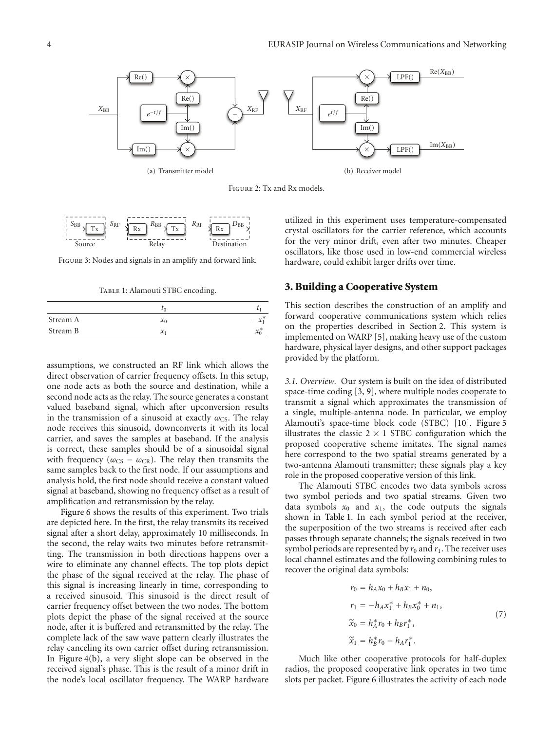

Figure 2: Tx and Rx models.



Figure 3: Nodes and signals in an amplify and forward link.

TABLE 1: Alamouti STBC encoding.

| Stream A | $x_0$           |  |
|----------|-----------------|--|
| Stream B | $\mathcal{X}_1$ |  |

assumptions, we constructed an RF link which allows the direct observation of carrier frequency offsets. In this setup, one node acts as both the source and destination, while a second node acts as the relay. The source generates a constant valued baseband signal, which after upconversion results in the transmission of a sinusoid at exactly  $\omega_{\text{CS}}$ . The relay node receives this sinusoid, downconverts it with its local carrier, and saves the samples at baseband. If the analysis is correct, these samples should be of a sinusoidal signal with frequency ( $\omega_{\text{CS}} - \omega_{\text{CR}}$ ). The relay then transmits the same samples back to the first node. If our assumptions and analysis hold, the first node should receive a constant valued signal at baseband, showing no frequency offset as a result of amplification and retransmission by the relay.

Figure 6 shows the results of this experiment. Two trials are depicted here. In the first, the relay transmits its received signal after a short delay, approximately 10 milliseconds. In the second, the relay waits two minutes before retransmitting. The transmission in both directions happens over a wire to eliminate any channel effects. The top plots depict the phase of the signal received at the relay. The phase of this signal is increasing linearly in time, corresponding to a received sinusoid. This sinusoid is the direct result of carrier frequency offset between the two nodes. The bottom plots depict the phase of the signal received at the source node, after it is buffered and retransmitted by the relay. The complete lack of the saw wave pattern clearly illustrates the relay canceling its own carrier offset during retransmission. In Figure 4(b), a very slight slope can be observed in the received signal's phase. This is the result of a minor drift in the node's local oscillator frequency. The WARP hardware

utilized in this experiment uses temperature-compensated crystal oscillators for the carrier reference, which accounts for the very minor drift, even after two minutes. Cheaper oscillators, like those used in low-end commercial wireless hardware, could exhibit larger drifts over time.

#### **3. Building a Cooperative System**

This section describes the construction of an amplify and forward cooperative communications system which relies on the properties described in Section 2. This system is implemented on WARP [5], making heavy use of the custom hardware, physical layer designs, and other support packages provided by the platform.

*3.1. Overview.* Our system is built on the idea of distributed space-time coding [3, 9], where multiple nodes cooperate to transmit a signal which approximates the transmission of a single, multiple-antenna node. In particular, we employ Alamouti's space-time block code (STBC) [10]. Figure 5 illustrates the classic  $2 \times 1$  STBC configuration which the proposed cooperative scheme imitates. The signal names here correspond to the two spatial streams generated by a two-antenna Alamouti transmitter; these signals play a key role in the proposed cooperative version of this link.

The Alamouti STBC encodes two data symbols across two symbol periods and two spatial streams. Given two data symbols  $x_0$  and  $x_1$ , the code outputs the signals shown in Table 1. In each symbol period at the receiver, the superposition of the two streams is received after each passes through separate channels; the signals received in two symbol periods are represented by  $r_0$  and  $r_1$ . The receiver uses local channel estimates and the following combining rules to recover the original data symbols:

$$
r_0 = h_A x_0 + h_B x_1 + n_0,
$$
  
\n
$$
r_1 = -h_A x_1^* + h_B x_0^* + n_1,
$$
  
\n
$$
\tilde{x}_0 = h_A^* r_0 + h_B r_1^*,
$$
  
\n
$$
\tilde{x}_1 = h_B^* r_0 - h_A r_1^*.
$$
\n(7)

Much like other cooperative protocols for half-duplex radios, the proposed cooperative link operates in two time slots per packet. Figure 6 illustrates the activity of each node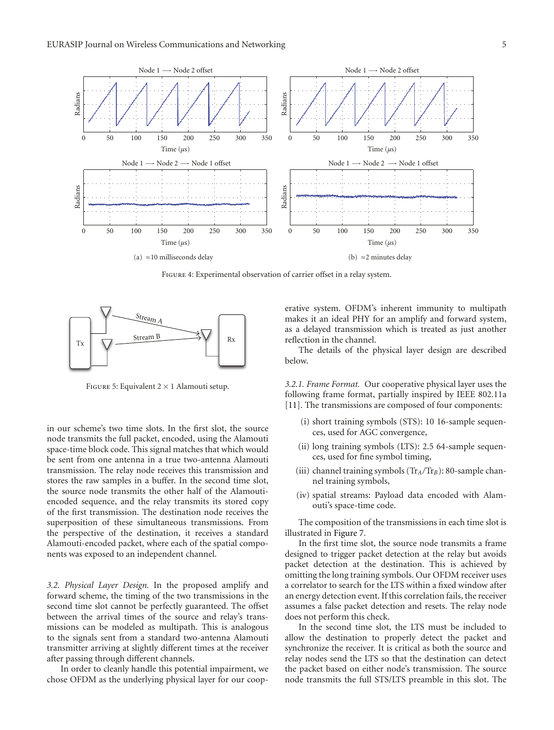

Figure 4: Experimental observation of carrier offset in a relay system.



FIGURE 5: Equivalent  $2 \times 1$  Alamouti setup.

in our scheme's two time slots. In the first slot, the source node transmits the full packet, encoded, using the Alamouti space-time block code. This signal matches that which would be sent from one antenna in a true two-antenna Alamouti transmission. The relay node receives this transmission and stores the raw samples in a buffer. In the second time slot, the source node transmits the other half of the Alamoutiencoded sequence, and the relay transmits its stored copy of the first transmission. The destination node receives the superposition of these simultaneous transmissions. From the perspective of the destination, it receives a standard Alamouti-encoded packet, where each of the spatial components was exposed to an independent channel.

*3.2. Physical Layer Design.* In the proposed amplify and forward scheme, the timing of the two transmissions in the second time slot cannot be perfectly guaranteed. The offset between the arrival times of the source and relay's transmissions can be modeled as multipath. This is analogous to the signals sent from a standard two-antenna Alamouti transmitter arriving at slightly different times at the receiver after passing through different channels.

In order to cleanly handle this potential impairment, we chose OFDM as the underlying physical layer for our cooperative system. OFDM's inherent immunity to multipath makes it an ideal PHY for an amplify and forward system, as a delayed transmission which is treated as just another reflection in the channel.

The details of the physical layer design are described below.

*3.2.1. Frame Format.* Our cooperative physical layer uses the following frame format, partially inspired by IEEE 802.11a [11]. The transmissions are composed of four components:

- (i) short training symbols (STS): 10 16-sample sequences, used for AGC convergence,
- (ii) long training symbols (LTS): 2.5 64-sample sequences, used for fine symbol timing,
- (iii) channel training symbols (Tr<sub>A</sub>/Tr<sub>B</sub>): 80-sample channel training symbols,
- (iv) spatial streams: Payload data encoded with Alamouti's space-time code.

The composition of the transmissions in each time slot is illustrated in Figure 7.

In the first time slot, the source node transmits a frame designed to trigger packet detection at the relay but avoids packet detection at the destination. This is achieved by omitting the long training symbols. Our OFDM receiver uses a correlator to search for the LTS within a fixed window after an energy detection event. If this correlation fails, the receiver assumes a false packet detection and resets. The relay node does not perform this check.

In the second time slot, the LTS must be included to allow the destination to properly detect the packet and synchronize the receiver. It is critical as both the source and relay nodes send the LTS so that the destination can detect the packet based on either node's transmission. The source node transmits the full STS/LTS preamble in this slot. The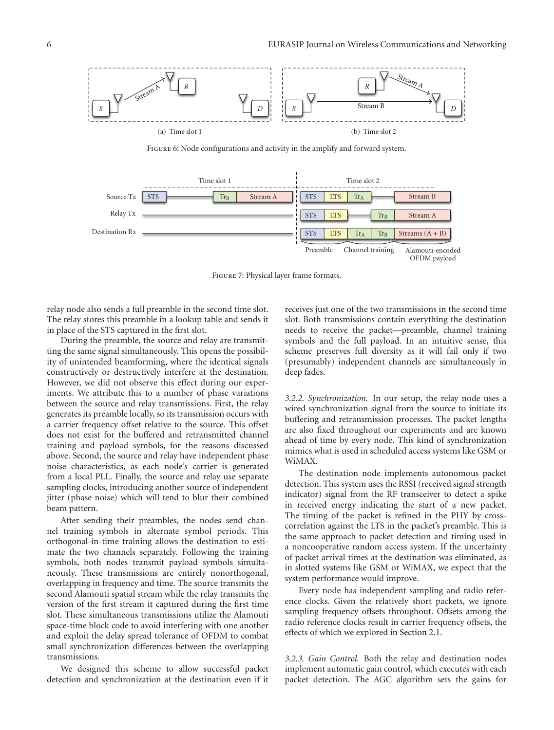

FIGURE 6: Node configurations and activity in the amplify and forward system.



Figure 7: Physical layer frame formats.

relay node also sends a full preamble in the second time slot. The relay stores this preamble in a lookup table and sends it in place of the STS captured in the first slot.

During the preamble, the source and relay are transmitting the same signal simultaneously. This opens the possibility of unintended beamforming, where the identical signals constructively or destructively interfere at the destination. However, we did not observe this effect during our experiments. We attribute this to a number of phase variations between the source and relay transmissions. First, the relay generates its preamble locally, so its transmission occurs with a carrier frequency offset relative to the source. This offset does not exist for the buffered and retransmitted channel training and payload symbols, for the reasons discussed above. Second, the source and relay have independent phase noise characteristics, as each node's carrier is generated from a local PLL. Finally, the source and relay use separate sampling clocks, introducing another source of independent jitter (phase noise) which will tend to blur their combined beam pattern.

After sending their preambles, the nodes send channel training symbols in alternate symbol periods. This orthogonal-in-time training allows the destination to estimate the two channels separately. Following the training symbols, both nodes transmit payload symbols simultaneously. These transmissions are entirely nonorthogonal, overlapping in frequency and time. The source transmits the second Alamouti spatial stream while the relay transmits the version of the first stream it captured during the first time slot. These simultaneous transmissions utilize the Alamouti space-time block code to avoid interfering with one another and exploit the delay spread tolerance of OFDM to combat small synchronization differences between the overlapping transmissions.

We designed this scheme to allow successful packet detection and synchronization at the destination even if it

receives just one of the two transmissions in the second time slot. Both transmissions contain everything the destination needs to receive the packet—preamble, channel training symbols and the full payload. In an intuitive sense, this scheme preserves full diversity as it will fail only if two (presumably) independent channels are simultaneously in deep fades.

*3.2.2. Synchronization.* In our setup, the relay node uses a wired synchronization signal from the source to initiate its buffering and retransmission processes. The packet lengths are also fixed throughout our experiments and are known ahead of time by every node. This kind of synchronization mimics what is used in scheduled access systems like GSM or WiMAX.

The destination node implements autonomous packet detection. This system uses the RSSI (received signal strength indicator) signal from the RF transceiver to detect a spike in received energy indicating the start of a new packet. The timing of the packet is refined in the PHY by crosscorrelation against the LTS in the packet's preamble. This is the same approach to packet detection and timing used in a noncooperative random access system. If the uncertainty of packet arrival times at the destination was eliminated, as in slotted systems like GSM or WiMAX, we expect that the system performance would improve.

Every node has independent sampling and radio reference clocks. Given the relatively short packets, we ignore sampling frequency offsets throughout. Offsets among the radio reference clocks result in carrier frequency offsets, the effects of which we explored in Section 2.1.

*3.2.3. Gain Control.* Both the relay and destination nodes implement automatic gain control, which executes with each packet detection. The AGC algorithm sets the gains for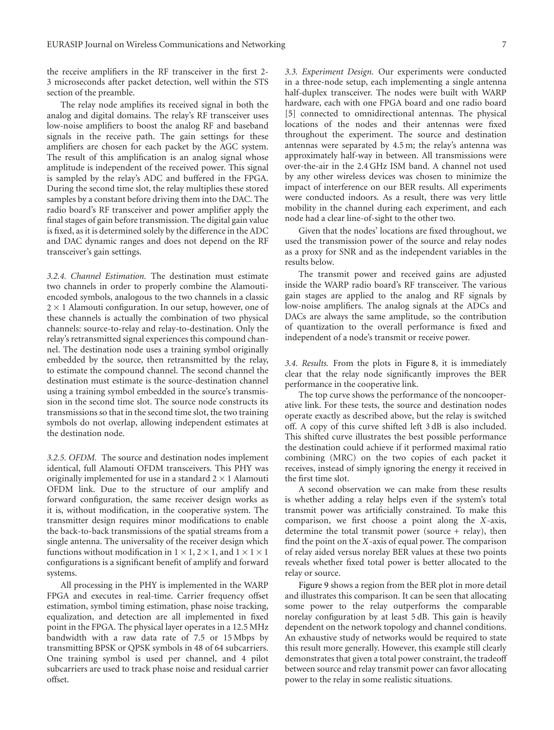the receive amplifiers in the RF transceiver in the first 2- 3 microseconds after packet detection, well within the STS section of the preamble.

The relay node amplifies its received signal in both the analog and digital domains. The relay's RF transceiver uses low-noise amplifiers to boost the analog RF and baseband signals in the receive path. The gain settings for these amplifiers are chosen for each packet by the AGC system. The result of this amplification is an analog signal whose amplitude is independent of the received power. This signal is sampled by the relay's ADC and buffered in the FPGA. During the second time slot, the relay multiplies these stored samples by a constant before driving them into the DAC. The radio board's RF transceiver and power amplifier apply the final stages of gain before transmission. The digital gain value is fixed, as it is determined solely by the difference in the ADC and DAC dynamic ranges and does not depend on the RF transceiver's gain settings.

*3.2.4. Channel Estimation.* The destination must estimate two channels in order to properly combine the Alamoutiencoded symbols, analogous to the two channels in a classic  $2 \times 1$  Alamouti configuration. In our setup, however, one of these channels is actually the combination of two physical channels: source-to-relay and relay-to-destination. Only the relay's retransmitted signal experiences this compound channel. The destination node uses a training symbol originally embedded by the source, then retransmitted by the relay, to estimate the compound channel. The second channel the destination must estimate is the source-destination channel using a training symbol embedded in the source's transmission in the second time slot. The source node constructs its transmissions so that in the second time slot, the two training symbols do not overlap, allowing independent estimates at the destination node.

*3.2.5. OFDM.* The source and destination nodes implement identical, full Alamouti OFDM transceivers. This PHY was originally implemented for use in a standard  $2 \times 1$  Alamouti OFDM link. Due to the structure of our amplify and forward configuration, the same receiver design works as it is, without modification, in the cooperative system. The transmitter design requires minor modifications to enable the back-to-back transmissions of the spatial streams from a single antenna. The universality of the receiver design which functions without modification in  $1 \times 1$ ,  $2 \times 1$ , and  $1 \times 1 \times 1$ configurations is a significant benefit of amplify and forward systems.

All processing in the PHY is implemented in the WARP FPGA and executes in real-time. Carrier frequency offset estimation, symbol timing estimation, phase noise tracking, equalization, and detection are all implemented in fixed point in the FPGA. The physical layer operates in a 12.5 MHz bandwidth with a raw data rate of 7.5 or 15 Mbps by transmitting BPSK or QPSK symbols in 48 of 64 subcarriers. One training symbol is used per channel, and 4 pilot subcarriers are used to track phase noise and residual carrier offset.

*3.3. Experiment Design.* Our experiments were conducted in a three-node setup, each implementing a single antenna half-duplex transceiver. The nodes were built with WARP hardware, each with one FPGA board and one radio board [5] connected to omnidirectional antennas. The physical locations of the nodes and their antennas were fixed throughout the experiment. The source and destination antennas were separated by 4.5 m; the relay's antenna was approximately half-way in between. All transmissions were over-the-air in the 2.4 GHz ISM band. A channel not used by any other wireless devices was chosen to minimize the impact of interference on our BER results. All experiments were conducted indoors. As a result, there was very little mobility in the channel during each experiment, and each node had a clear line-of-sight to the other two.

Given that the nodes' locations are fixed throughout, we used the transmission power of the source and relay nodes as a proxy for SNR and as the independent variables in the results below.

The transmit power and received gains are adjusted inside the WARP radio board's RF transceiver. The various gain stages are applied to the analog and RF signals by low-noise amplifiers. The analog signals at the ADCs and DACs are always the same amplitude, so the contribution of quantization to the overall performance is fixed and independent of a node's transmit or receive power.

*3.4. Results.* From the plots in Figure 8, it is immediately clear that the relay node significantly improves the BER performance in the cooperative link.

The top curve shows the performance of the noncooperative link. For these tests, the source and destination nodes operate exactly as described above, but the relay is switched off. A copy of this curve shifted left 3 dB is also included. This shifted curve illustrates the best possible performance the destination could achieve if it performed maximal ratio combining (MRC) on the two copies of each packet it receives, instead of simply ignoring the energy it received in the first time slot.

A second observation we can make from these results is whether adding a relay helps even if the system's total transmit power was artificially constrained. To make this comparison, we first choose a point along the *X*-axis, determine the total transmit power (source + relay), then find the point on the *X*-axis of equal power. The comparison of relay aided versus norelay BER values at these two points reveals whether fixed total power is better allocated to the relay or source.

Figure 9 shows a region from the BER plot in more detail and illustrates this comparison. It can be seen that allocating some power to the relay outperforms the comparable norelay configuration by at least 5 dB. This gain is heavily dependent on the network topology and channel conditions. An exhaustive study of networks would be required to state this result more generally. However, this example still clearly demonstrates that given a total power constraint, the tradeoff between source and relay transmit power can favor allocating power to the relay in some realistic situations.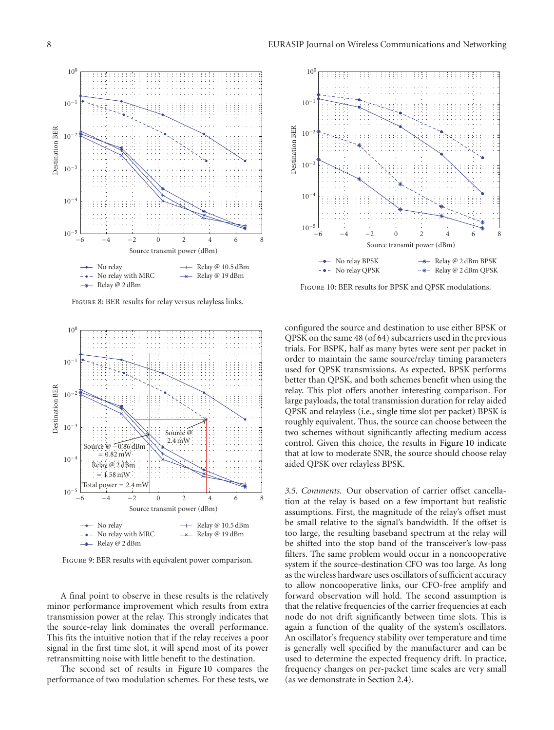

Figure 8: BER results for relay versus relayless links.



Figure 9: BER results with equivalent power comparison.

A final point to observe in these results is the relatively minor performance improvement which results from extra transmission power at the relay. This strongly indicates that the source-relay link dominates the overall performance. This fits the intuitive notion that if the relay receives a poor signal in the first time slot, it will spend most of its power retransmitting noise with little benefit to the destination.

The second set of results in Figure 10 compares the performance of two modulation schemes. For these tests, we



Figure 10: BER results for BPSK and QPSK modulations.

configured the source and destination to use either BPSK or QPSK on the same 48 (of 64) subcarriers used in the previous trials. For BSPK, half as many bytes were sent per packet in order to maintain the same source/relay timing parameters used for QPSK transmissions. As expected, BPSK performs better than QPSK, and both schemes benefit when using the relay. This plot offers another interesting comparison. For large payloads, the total transmission duration for relay aided QPSK and relayless (i.e., single time slot per packet) BPSK is roughly equivalent. Thus, the source can choose between the two schemes without significantly affecting medium access control. Given this choice, the results in Figure 10 indicate that at low to moderate SNR, the source should choose relay aided QPSK over relayless BPSK.

*3.5. Comments.* Our observation of carrier offset cancellation at the relay is based on a few important but realistic assumptions. First, the magnitude of the relay's offset must be small relative to the signal's bandwidth. If the offset is too large, the resulting baseband spectrum at the relay will be shifted into the stop band of the transceiver's low-pass filters. The same problem would occur in a noncooperative system if the source-destination CFO was too large. As long as the wireless hardware uses oscillators of sufficient accuracy to allow noncooperative links, our CFO-free amplify and forward observation will hold. The second assumption is that the relative frequencies of the carrier frequencies at each node do not drift significantly between time slots. This is again a function of the quality of the system's oscillators. An oscillator's frequency stability over temperature and time is generally well specified by the manufacturer and can be used to determine the expected frequency drift. In practice, frequency changes on per-packet time scales are very small (as we demonstrate in Section 2.4).